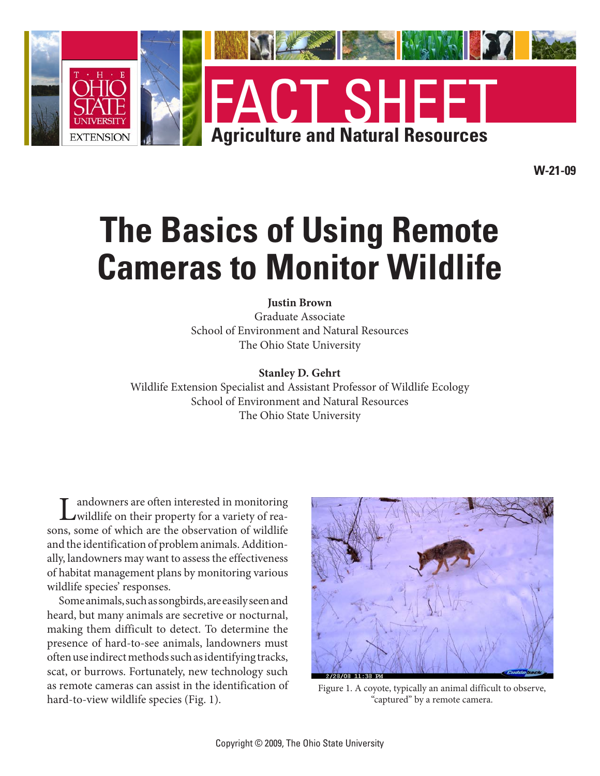

**W-21-09**

# **The Basics of Using Remote Cameras to Monitor Wildlife**

#### **Justin Brown**

Graduate Associate School of Environment and Natural Resources The Ohio State University

#### **Stanley D. Gehrt**

Wildlife Extension Specialist and Assistant Professor of Wildlife Ecology School of Environment and Natural Resources The Ohio State University

Landowners are often interested in monitoring<br>
wildlife on their property for a variety of reasons, some of which are the observation of wildlife and the identification of problem animals. Additionally, landowners may want to assess the effectiveness of habitat management plans by monitoring various wildlife species' responses.

Some animals, such as songbirds, are easily seen and heard, but many animals are secretive or nocturnal, making them difficult to detect. To determine the presence of hard-to-see animals, landowners must often use indirect methods such as identifying tracks, scat, or burrows. Fortunately, new technology such as remote cameras can assist in the identification of hard-to-view wildlife species (Fig. 1).



Figure 1. A coyote, typically an animal difficult to observe, "captured" by a remote camera.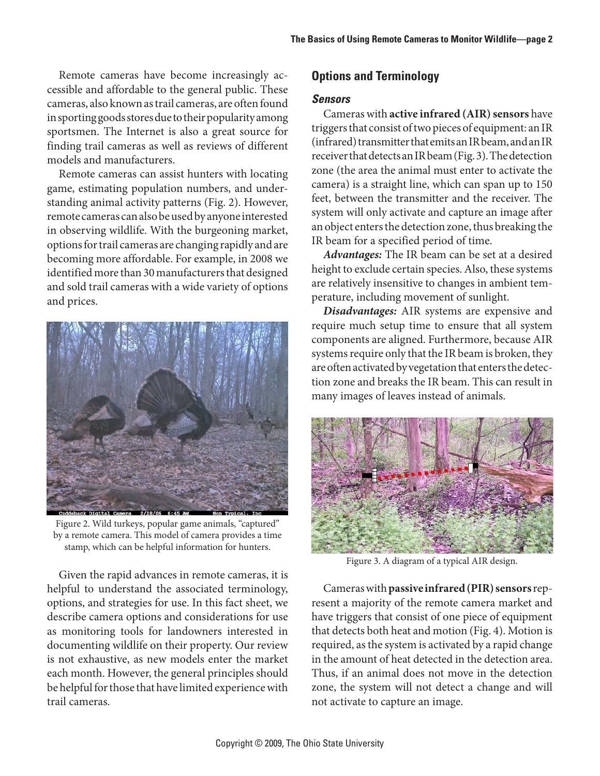Remote cameras have become increasingly accessible and affordable to the general public. These cameras, also known as trail cameras, are often found in sporting goods stores due to their popularity among sportsmen. The Internet is also a great source for finding trail cameras as well as reviews of different models and manufacturers.

Remote cameras can assist hunters with locating game, estimating population numbers, and understanding animal activity patterns (Fig. 2). However, remote cameras can also be used by anyone interested in observing wildlife. With the burgeoning market, options for trail cameras are changing rapidly and are becoming more affordable. For example, in 2008 we identified more than 30 manufacturers that designed and sold trail cameras with a wide variety of options and prices.



Figure 2. Wild turkeys, popular game animals, "captured" by a remote camera. This model of camera provides a time stamp, which can be helpful information for hunters.

Given the rapid advances in remote cameras, it is helpful to understand the associated terminology, options, and strategies for use. In this fact sheet, we describe camera options and considerations for use as monitoring tools for landowners interested in documenting wildlife on their property. Our review is not exhaustive, as new models enter the market each month. However, the general principles should be helpful for those that have limited experience with trail cameras.

# **Options and Terminology**

#### *Sensors*

Cameras with **active infrared (AIR)** sensors have triggers that consist of two pieces of equipment: an IR (infrared) transmitter that emits an IR beam, and an IR receiver that detects an IR beam (Fig. 3). The detection zone (the area the animal must enter to activate the camera) is a straight line, which can span up to 150 feet, between the transmitter and the receiver. The system will only activate and capture an image after an object enters the detection zone, thus breaking the IR beam for a specified period of time.

*Advantages:* The IR beam can be set at a desired height to exclude certain species. Also, these systems are relatively insensitive to changes in ambient temperature, including movement of sunlight.

*Disadvantages:* AIR systems are expensive and require much setup time to ensure that all system components are aligned. Furthermore, because AIR systems require only that the IR beam is broken, they are often activated by vegetation that enters the detection zone and breaks the IR beam. This can result in many images of leaves instead of animals.



Figure 3. A diagram of a typical AIR design.

Cameras with **passive infrared (PIR) sensors** represent a majority of the remote camera market and have triggers that consist of one piece of equipment that detects both heat and motion (Fig. 4). Motion is required, as the system is activated by a rapid change in the amount of heat detected in the detection area. Thus, if an animal does not move in the detection zone, the system will not detect a change and will not activate to capture an image.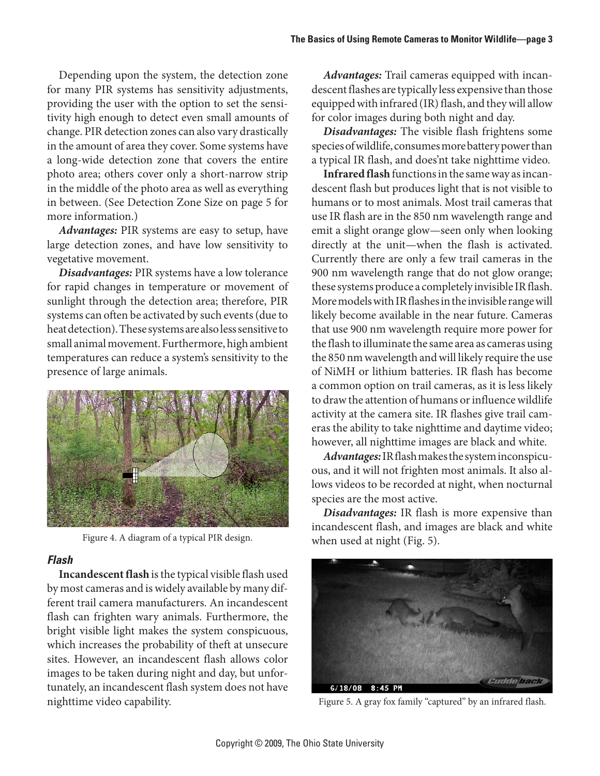Depending upon the system, the detection zone for many PIR systems has sensitivity adjustments, providing the user with the option to set the sensitivity high enough to detect even small amounts of change. PIR detection zones can also vary drastically in the amount of area they cover. Some systems have a long-wide detection zone that covers the entire photo area; others cover only a short-narrow strip in the middle of the photo area as well as everything in between. (See Detection Zone Size on page 5 for more information.)

*Advantages:* PIR systems are easy to setup, have large detection zones, and have low sensitivity to vegetative movement.

*Disadvantages:* PIR systems have a low tolerance for rapid changes in temperature or movement of sunlight through the detection area; therefore, PIR systems can often be activated by such events (due to heat detection). These systems are also less sensitive to small animal movement. Furthermore, high ambient temperatures can reduce a system's sensitivity to the presence of large animals.



Figure 4. A diagram of a typical PIR design.

#### *Flash*

**Incandescent flash** is the typical visible flash used by most cameras and is widely available by many different trail camera manufacturers. An incandescent flash can frighten wary animals. Furthermore, the bright visible light makes the system conspicuous, which increases the probability of theft at unsecure sites. However, an incandescent flash allows color images to be taken during night and day, but unfortunately, an incandescent flash system does not have nighttime video capability. The state of the state of Figure 5. A gray fox family "captured" by an infrared flash.

*Advantages:* Trail cameras equipped with incandescent flashes are typically less expensive than those equipped with infrared (IR) flash, and they will allow for color images during both night and day.

*Disadvantages:* The visible flash frightens some species of wildlife, consumes more battery power than a typical IR flash, and does'nt take nighttime video.

**Infrared flash** functions in the same way as incandescent flash but produces light that is not visible to humans or to most animals. Most trail cameras that use IR flash are in the 850 nm wavelength range and emit a slight orange glow—seen only when looking directly at the unit—when the flash is activated. Currently there are only a few trail cameras in the 900 nm wavelength range that do not glow orange; these systems produce a completely invisible IR flash. More models with IR flashes in the invisible range will likely become available in the near future. Cameras that use 900 nm wavelength require more power for the flash to illuminate the same area as cameras using the 850 nm wavelength and will likely require the use of NiMH or lithium batteries. IR flash has become a common option on trail cameras, as it is less likely to draw the attention of humans or influence wildlife activity at the camera site. IR flashes give trail cameras the ability to take nighttime and daytime video; however, all nighttime images are black and white.

*Advantages:* IR flash makes the system inconspicuous, and it will not frighten most animals. It also allows videos to be recorded at night, when nocturnal species are the most active.

*Disadvantages:* IR flash is more expensive than incandescent flash, and images are black and white when used at night (Fig. 5).

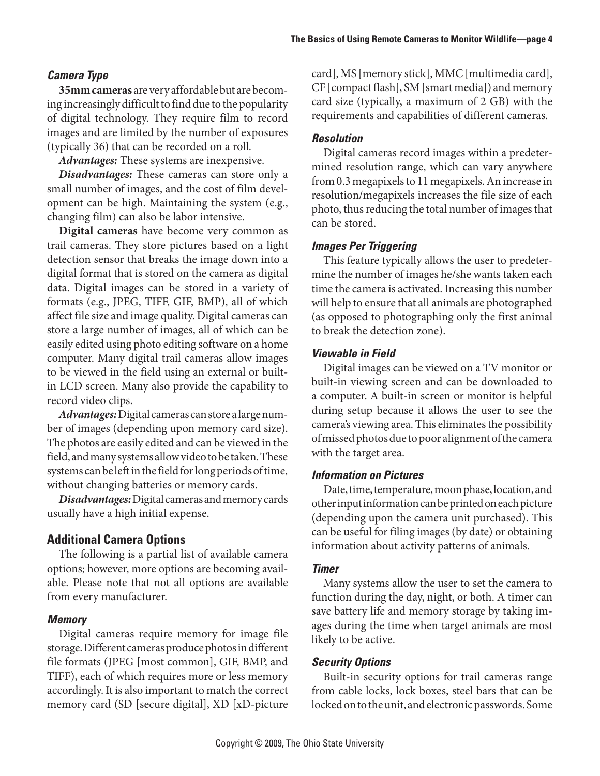# *Camera Type*

**35mm cameras** are very affordable but are becoming increasingly difficult to find due to the popularity of digital technology. They require film to record images and are limited by the number of exposures (typically 36) that can be recorded on a roll.

*Advantages:* These systems are inexpensive.

*Disadvantages:* These cameras can store only a small number of images, and the cost of film development can be high. Maintaining the system (e.g., changing film) can also be labor intensive.

**Digital cameras** have become very common as trail cameras. They store pictures based on a light detection sensor that breaks the image down into a digital format that is stored on the camera as digital data. Digital images can be stored in a variety of formats (e.g., JPEG, TIFF, GIF, BMP), all of which affect file size and image quality. Digital cameras can store a large number of images, all of which can be easily edited using photo editing software on a home computer. Many digital trail cameras allow images to be viewed in the field using an external or builtin LCD screen. Many also provide the capability to record video clips.

*Advantages:* Digital cameras can store a large number of images (depending upon memory card size). The photos are easily edited and can be viewed in the field, and many systems allow video to be taken. These systems can be left in the field for long periods of time, without changing batteries or memory cards.

*Disadvantages:* Digital cameras and memory cards usually have a high initial expense.

# **Additional Camera Options**

The following is a partial list of available camera options; however, more options are becoming available. Please note that not all options are available from every manufacturer.

## *Memory*

Digital cameras require memory for image file storage. Different cameras produce photos in different file formats (JPEG [most common], GIF, BMP, and TIFF), each of which requires more or less memory accordingly. It is also important to match the correct memory card (SD [secure digital], XD [xD-picture card], MS [memory stick], MMC [multimedia card], CF [compact flash], SM [smart media]) and memory card size (typically, a maximum of 2 GB) with the requirements and capabilities of different cameras.

## *Resolution*

Digital cameras record images within a predetermined resolution range, which can vary anywhere from 0.3 megapixels to 11 megapixels. An increase in resolution/megapixels increases the file size of each photo, thus reducing the total number of images that can be stored.

## *Images Per Triggering*

This feature typically allows the user to predetermine the number of images he/she wants taken each time the camera is activated. Increasing this number will help to ensure that all animals are photographed (as opposed to photographing only the first animal to break the detection zone).

# *Viewable in Field*

Digital images can be viewed on a TV monitor or built-in viewing screen and can be downloaded to a computer. A built-in screen or monitor is helpful during setup because it allows the user to see the camera's viewing area. This eliminates the possibility of missed photos due to poor alignment of the camera with the target area.

## *Information on Pictures*

Date, time, temperature, moon phase, location, and other input information can be printed on each picture (depending upon the camera unit purchased). This can be useful for filing images (by date) or obtaining information about activity patterns of animals.

# *Timer*

Many systems allow the user to set the camera to function during the day, night, or both. A timer can save battery life and memory storage by taking images during the time when target animals are most likely to be active.

## *Security Options*

Built-in security options for trail cameras range from cable locks, lock boxes, steel bars that can be locked on to the unit, and electronic passwords. Some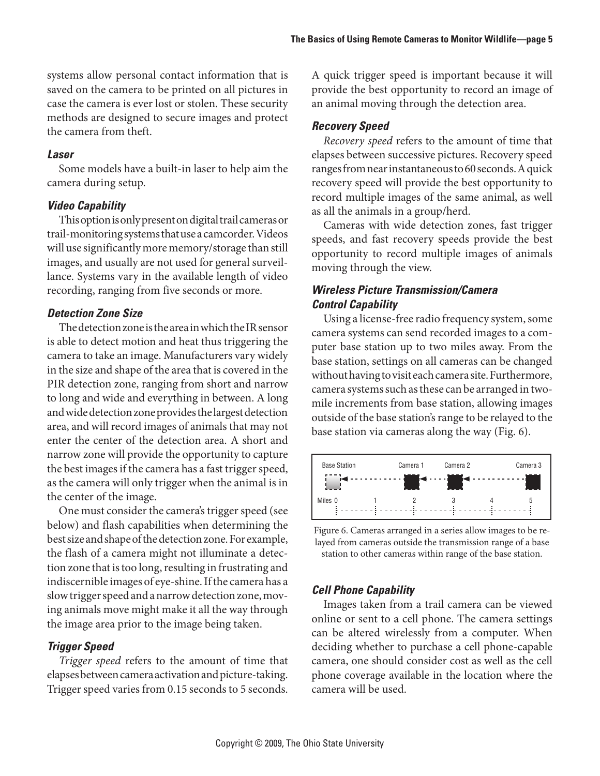systems allow personal contact information that is saved on the camera to be printed on all pictures in case the camera is ever lost or stolen. These security methods are designed to secure images and protect the camera from theft.

#### *Laser*

Some models have a built-in laser to help aim the camera during setup.

#### *Video Capability*

This option is only present on digital trail cameras or trail-monitoring systems that use a camcorder. Videos will use significantly more memory/storage than still images, and usually are not used for general surveillance. Systems vary in the available length of video recording, ranging from five seconds or more.

## *Detection Zone Size*

The detection zone is the area in which the IR sensor is able to detect motion and heat thus triggering the camera to take an image. Manufacturers vary widely in the size and shape of the area that is covered in the PIR detection zone, ranging from short and narrow to long and wide and everything in between. A long and wide detection zone provides the largest detection area, and will record images of animals that may not enter the center of the detection area. A short and narrow zone will provide the opportunity to capture the best images if the camera has a fast trigger speed, as the camera will only trigger when the animal is in the center of the image.

One must consider the camera's trigger speed (see below) and flash capabilities when determining the best size and shape of the detection zone. For example, the flash of a camera might not illuminate a detection zone that is too long, resulting in frustrating and indiscernible images of eye-shine. If the camera has a slow trigger speed and a narrow detection zone, moving animals move might make it all the way through the image area prior to the image being taken.

## *Trigger Speed*

*Trigger speed* refers to the amount of time that elapses between camera activation and picture-taking. Trigger speed varies from 0.15 seconds to 5 seconds.

A quick trigger speed is important because it will provide the best opportunity to record an image of an animal moving through the detection area.

## *Recovery Speed*

*Recovery speed* refers to the amount of time that elapses between successive pictures. Recovery speed ranges from near instantaneous to 60 seconds. A quick recovery speed will provide the best opportunity to record multiple images of the same animal, as well as all the animals in a group/herd.

Cameras with wide detection zones, fast trigger speeds, and fast recovery speeds provide the best opportunity to record multiple images of animals moving through the view.

# *Wireless Picture Transmission/Camera Control Capability*

Using a license-free radio frequency system, some camera systems can send recorded images to a computer base station up to two miles away. From the base station, settings on all cameras can be changed without having to visit each camera site. Furthermore, camera systems such as these can be arranged in twomile increments from base station, allowing images outside of the base station's range to be relayed to the base station via cameras along the way (Fig. 6).



Figure 6. Cameras arranged in a series allow images to be relayed from cameras outside the transmission range of a base station to other cameras within range of the base station.

## *Cell Phone Capability*

Images taken from a trail camera can be viewed online or sent to a cell phone. The camera settings can be altered wirelessly from a computer. When deciding whether to purchase a cell phone-capable camera, one should consider cost as well as the cell phone coverage available in the location where the camera will be used.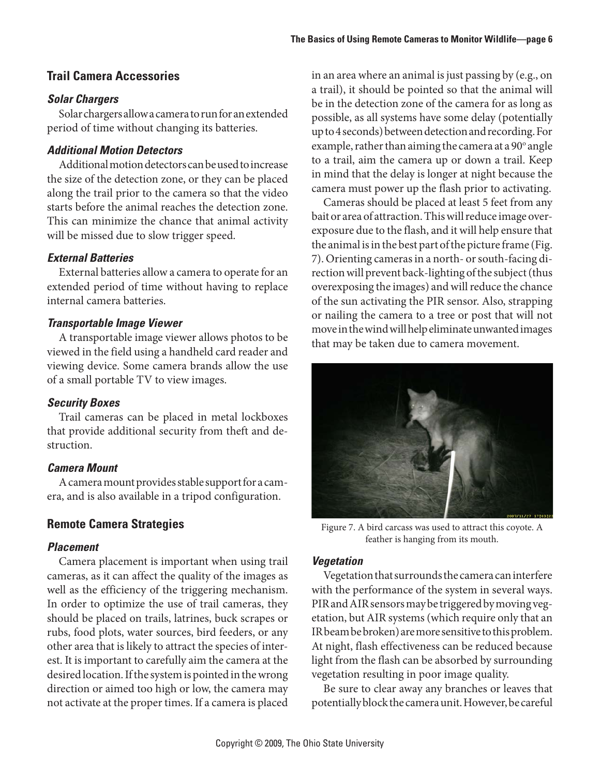# **Trail Camera Accessories**

#### *Solar Chargers*

Solar chargers allow a camera to run for an extended period of time without changing its batteries.

## *Additional Motion Detectors*

Additional motion detectors can be used to increase the size of the detection zone, or they can be placed along the trail prior to the camera so that the video starts before the animal reaches the detection zone. This can minimize the chance that animal activity will be missed due to slow trigger speed.

## *External Batteries*

External batteries allow a camera to operate for an extended period of time without having to replace internal camera batteries.

#### *Transportable Image Viewer*

A transportable image viewer allows photos to be viewed in the field using a handheld card reader and viewing device. Some camera brands allow the use of a small portable TV to view images.

#### *Security Boxes*

Trail cameras can be placed in metal lockboxes that provide additional security from theft and destruction.

## *Camera Mount*

A camera mount provides stable support for a camera, and is also available in a tripod configuration.

# **Remote Camera Strategies**

## *Placement*

Camera placement is important when using trail cameras, as it can affect the quality of the images as well as the efficiency of the triggering mechanism. In order to optimize the use of trail cameras, they should be placed on trails, latrines, buck scrapes or rubs, food plots, water sources, bird feeders, or any other area that is likely to attract the species of interest. It is important to carefully aim the camera at the desired location. If the system is pointed in the wrong direction or aimed too high or low, the camera may not activate at the proper times. If a camera is placed in an area where an animal is just passing by (e.g., on a trail), it should be pointed so that the animal will be in the detection zone of the camera for as long as possible, as all systems have some delay (potentially up to 4 seconds) between detection and recording. For example, rather than aiming the camera at a 90° angle to a trail, aim the camera up or down a trail. Keep in mind that the delay is longer at night because the camera must power up the flash prior to activating.

Cameras should be placed at least 5 feet from any bait or area of attraction. This will reduce image overexposure due to the flash, and it will help ensure that the animal is in the best part of the picture frame (Fig. 7). Orienting cameras in a north- or south-facing direction will prevent back-lighting of the subject (thus overexposing the images) and will reduce the chance of the sun activating the PIR sensor. Also, strapping or nailing the camera to a tree or post that will not move in the wind will help eliminate unwanted images that may be taken due to camera movement.



Figure 7. A bird carcass was used to attract this coyote. A feather is hanging from its mouth.

#### *Vegetation*

Vegetation that surrounds the camera can interfere with the performance of the system in several ways. PIR and AIR sensors may be triggered by moving vegetation, but AIR systems (which require only that an IR beam be broken) are more sensitive to this problem. At night, flash effectiveness can be reduced because light from the flash can be absorbed by surrounding vegetation resulting in poor image quality.

Be sure to clear away any branches or leaves that potentially block the camera unit. However, be careful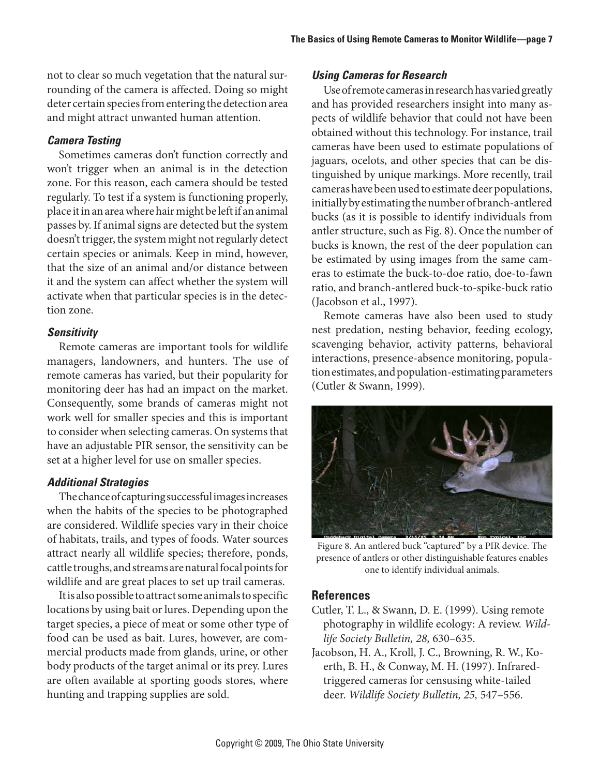not to clear so much vegetation that the natural surrounding of the camera is affected. Doing so might deter certain species from entering the detection area and might attract unwanted human attention.

## *Camera Testing*

Sometimes cameras don't function correctly and won't trigger when an animal is in the detection zone. For this reason, each camera should be tested regularly. To test if a system is functioning properly, place it in an area where hair might be left if an animal passes by. If animal signs are detected but the system doesn't trigger, the system might not regularly detect certain species or animals. Keep in mind, however, that the size of an animal and/or distance between it and the system can affect whether the system will activate when that particular species is in the detection zone.

## *Sensitivity*

Remote cameras are important tools for wildlife managers, landowners, and hunters. The use of remote cameras has varied, but their popularity for monitoring deer has had an impact on the market. Consequently, some brands of cameras might not work well for smaller species and this is important to consider when selecting cameras. On systems that have an adjustable PIR sensor, the sensitivity can be set at a higher level for use on smaller species.

## *Additional Strategies*

The chance of capturing successful images increases when the habits of the species to be photographed are considered. Wildlife species vary in their choice of habitats, trails, and types of foods. Water sources attract nearly all wildlife species; therefore, ponds, cattle troughs, and streams are natural focal points for wildlife and are great places to set up trail cameras.

It is also possible to attract some animals to specific locations by using bait or lures. Depending upon the target species, a piece of meat or some other type of food can be used as bait. Lures, however, are commercial products made from glands, urine, or other body products of the target animal or its prey. Lures are often available at sporting goods stores, where hunting and trapping supplies are sold.

## *Using Cameras for Research*

Use of remote cameras in research has varied greatly and has provided researchers insight into many aspects of wildlife behavior that could not have been obtained without this technology. For instance, trail cameras have been used to estimate populations of jaguars, ocelots, and other species that can be distinguished by unique markings. More recently, trail cameras have been used to estimate deer populations, initially by estimating the number of branch-antlered bucks (as it is possible to identify individuals from antler structure, such as Fig. 8). Once the number of bucks is known, the rest of the deer population can be estimated by using images from the same cameras to estimate the buck-to-doe ratio, doe-to-fawn ratio, and branch-antlered buck-to-spike-buck ratio (Jacobson et al., 1997).

Remote cameras have also been used to study nest predation, nesting behavior, feeding ecology, scavenging behavior, activity patterns, behavioral interactions, presence-absence monitoring, population estimates, and population-estimating parameters (Cutler & Swann, 1999).



Figure 8. An antlered buck "captured" by a PIR device. The presence of antlers or other distinguishable features enables one to identify individual animals.

## **References**

- Cutler, T. L., & Swann, D. E. (1999). Using remote photography in wildlife ecology: A review. *Wildlife Society Bulletin, 28,* 630–635.
- Jacobson, H. A., Kroll, J. C., Browning, R. W., Koerth, B. H., & Conway, M. H. (1997). Infraredtriggered cameras for censusing white-tailed deer. *Wildlife Society Bulletin, 25,* 547–556.